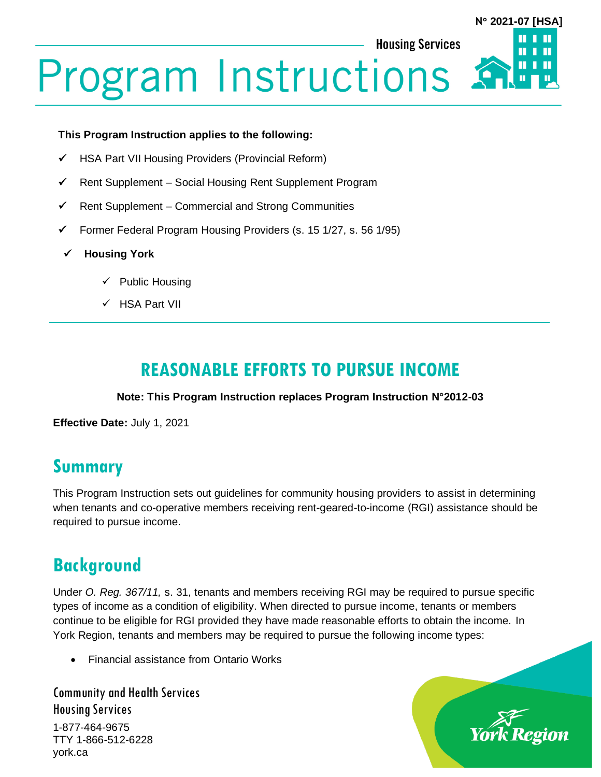#### **Housing Services**

# **N 2021-07 [HSA]**П

# **Program Instructions**

#### **This Program Instruction applies to the following:**

- ✓ HSA Part VII Housing Providers (Provincial Reform)
- ✓ Rent Supplement Social Housing Rent Supplement Program
- $\checkmark$  Rent Supplement Commercial and Strong Communities
- ✓ Former Federal Program Housing Providers (s. 15 1/27, s. 56 1/95)
- ✓ **Housing York**
	- ✓ Public Housing
	- ✓ HSA Part VII

# **REASONABLE EFFORTS TO PURSUE INCOME**

#### **Note: This Program Instruction replaces Program Instruction N°2012-03**

**Effective Date:** July 1, 2021

## **Summary**

This Program Instruction sets out guidelines for community housing providers to assist in determining when tenants and co-operative members receiving rent-geared-to-income (RGI) assistance should be required to pursue income.

## **Background**

Under *O. Reg. 367/11,* s. 31, tenants and members receiving RGI may be required to pursue specific types of income as a condition of eligibility. When directed to pursue income, tenants or members continue to be eligible for RGI provided they have made reasonable efforts to obtain the income. In York Region, tenants and members may be required to pursue the following income types:

• Financial assistance from Ontario Works

Community and Health Services Housing Services

1-877-464-9675 TTY 1-866-512-6228 york.ca

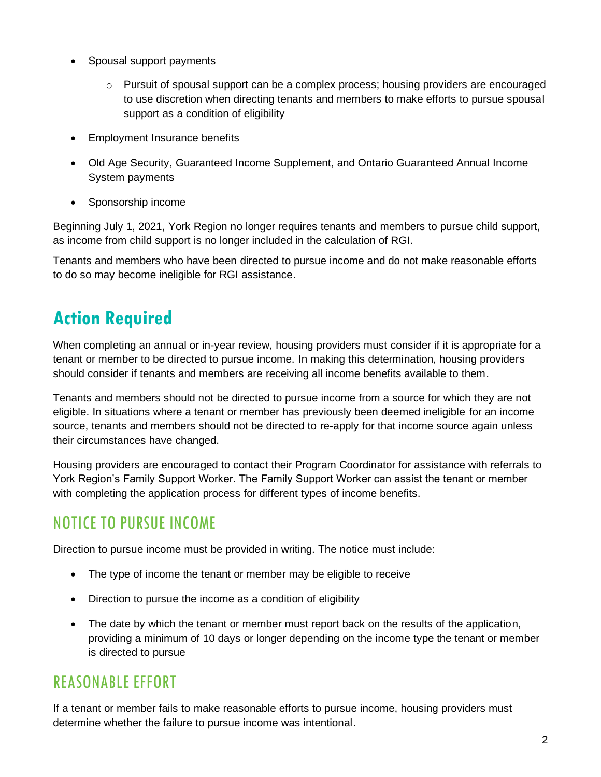- Spousal support payments
	- $\circ$  Pursuit of spousal support can be a complex process; housing providers are encouraged to use discretion when directing tenants and members to make efforts to pursue spousal support as a condition of eligibility
- Employment Insurance benefits
- Old Age Security, Guaranteed Income Supplement, and Ontario Guaranteed Annual Income System payments
- Sponsorship income

Beginning July 1, 2021, York Region no longer requires tenants and members to pursue child support, as income from child support is no longer included in the calculation of RGI.

Tenants and members who have been directed to pursue income and do not make reasonable efforts to do so may become ineligible for RGI assistance.

# **Action Required**

When completing an annual or in-year review, housing providers must consider if it is appropriate for a tenant or member to be directed to pursue income. In making this determination, housing providers should consider if tenants and members are receiving all income benefits available to them.

Tenants and members should not be directed to pursue income from a source for which they are not eligible. In situations where a tenant or member has previously been deemed ineligible for an income source, tenants and members should not be directed to re-apply for that income source again unless their circumstances have changed.

Housing providers are encouraged to contact their Program Coordinator for assistance with referrals to York Region's Family Support Worker. The Family Support Worker can assist the tenant or member with completing the application process for different types of income benefits.

#### NOTICE TO PURSUE INCOME

Direction to pursue income must be provided in writing. The notice must include:

- The type of income the tenant or member may be eligible to receive
- Direction to pursue the income as a condition of eligibility
- The date by which the tenant or member must report back on the results of the application, providing a minimum of 10 days or longer depending on the income type the tenant or member is directed to pursue

#### REASONABLE EFFORT

If a tenant or member fails to make reasonable efforts to pursue income, housing providers must determine whether the failure to pursue income was intentional.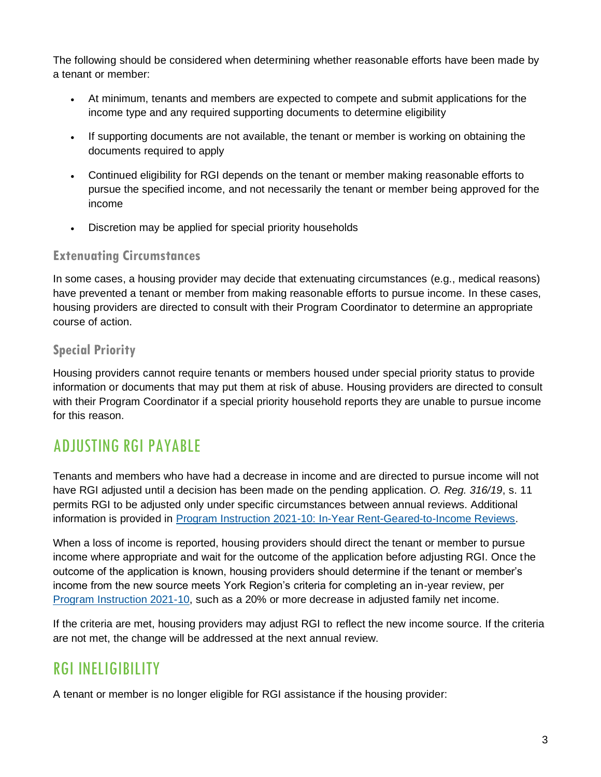The following should be considered when determining whether reasonable efforts have been made by a tenant or member:

- At minimum, tenants and members are expected to compete and submit applications for the income type and any required supporting documents to determine eligibility
- If supporting documents are not available, the tenant or member is working on obtaining the documents required to apply
- Continued eligibility for RGI depends on the tenant or member making reasonable efforts to pursue the specified income, and not necessarily the tenant or member being approved for the income
- Discretion may be applied for special priority households

#### **Extenuating Circumstances**

In some cases, a housing provider may decide that extenuating circumstances (e.g., medical reasons) have prevented a tenant or member from making reasonable efforts to pursue income. In these cases, housing providers are directed to consult with their Program Coordinator to determine an appropriate course of action.

#### **Special Priority**

Housing providers cannot require tenants or members housed under special priority status to provide information or documents that may put them at risk of abuse. Housing providers are directed to consult with their Program Coordinator if a special priority household reports they are unable to pursue income for this reason.

#### ADJUSTING RGI PAYABLE

Tenants and members who have had a decrease in income and are directed to pursue income will not have RGI adjusted until a decision has been made on the pending application. *O. Reg. 316/19*, s. 11 permits RGI to be adjusted only under specific circumstances between annual reviews. Additional information is provided in Program Instruction [2021-10: In-Year Rent-Geared-to-Income Reviews.](https://www.york.ca/wps/wcm/connect/yorkpublic/838a89ee-5e29-4c21-93ef-be270adf8ab8/PI-2021-10-In-Year-Rent-Geared-to-Income-Reviews.pdf?MOD=AJPERES)

When a loss of income is reported, housing providers should direct the tenant or member to pursue income where appropriate and wait for the outcome of the application before adjusting RGI. Once the outcome of the application is known, housing providers should determine if the tenant or member's income from the new source meets York Region's criteria for completing an in-year review, per [Program Instruction 2021-10,](https://www.york.ca/wps/wcm/connect/yorkpublic/838a89ee-5e29-4c21-93ef-be270adf8ab8/PI-2021-10-In-Year-Rent-Geared-to-Income-Reviews.pdf?MOD=AJPERES) such as a 20% or more decrease in adjusted family net income.

If the criteria are met, housing providers may adjust RGI to reflect the new income source. If the criteria are not met, the change will be addressed at the next annual review.

#### RGI INELIGIBILITY

A tenant or member is no longer eligible for RGI assistance if the housing provider: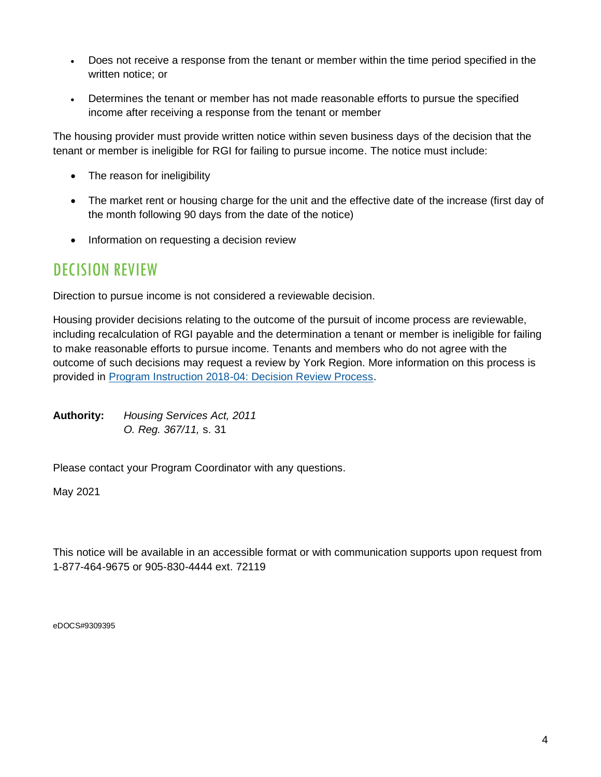- Does not receive a response from the tenant or member within the time period specified in the written notice; or
- Determines the tenant or member has not made reasonable efforts to pursue the specified income after receiving a response from the tenant or member

The housing provider must provide written notice within seven business days of the decision that the tenant or member is ineligible for RGI for failing to pursue income. The notice must include:

- The reason for ineligibility
- The market rent or housing charge for the unit and the effective date of the increase (first day of the month following 90 days from the date of the notice)
- Information on requesting a decision review

#### DECISION REVIEW

Direction to pursue income is not considered a reviewable decision.

Housing provider decisions relating to the outcome of the pursuit of income process are reviewable, including recalculation of RGI payable and the determination a tenant or member is ineligible for failing to make reasonable efforts to pursue income. Tenants and members who do not agree with the outcome of such decisions may request a review by York Region. More information on this process is provided in [Program Instruction 2018-04: Decision Review Process.](https://www.york.ca/wps/wcm/connect/yorkpublic/019a0f93-056d-4c13-b62b-d7da95dbfb4d/Program-Instructions-Decision-Review-Process.pdf?MOD=AJPERES)

**Authority:** *Housing Services Act, 2011 O. Reg. 367/11,* s. 31

Please contact your Program Coordinator with any questions.

May 2021

This notice will be available in an accessible format or with communication supports upon request from 1-877-464-9675 or 905-830-4444 ext. 72119

eDOCS#9309395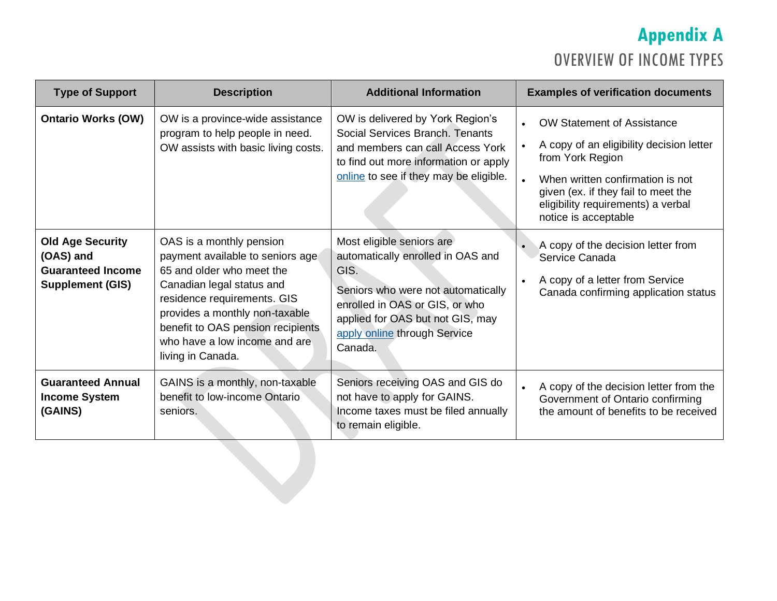# **Appendix A** OVERVIEW OF INCOME TYPES

| <b>Type of Support</b>                                                                      | <b>Description</b>                                                                                                                                                                                                                                                                 | <b>Additional Information</b>                                                                                                                                                                                                 | <b>Examples of verification documents</b>                                                                                                                                                                                                  |
|---------------------------------------------------------------------------------------------|------------------------------------------------------------------------------------------------------------------------------------------------------------------------------------------------------------------------------------------------------------------------------------|-------------------------------------------------------------------------------------------------------------------------------------------------------------------------------------------------------------------------------|--------------------------------------------------------------------------------------------------------------------------------------------------------------------------------------------------------------------------------------------|
| <b>Ontario Works (OW)</b>                                                                   | OW is a province-wide assistance<br>program to help people in need.<br>OW assists with basic living costs.                                                                                                                                                                         | OW is delivered by York Region's<br>Social Services Branch. Tenants<br>and members can call Access York<br>to find out more information or apply<br>online to see if they may be eligible.                                    | <b>OW Statement of Assistance</b><br>A copy of an eligibility decision letter<br>from York Region<br>When written confirmation is not<br>given (ex. if they fail to meet the<br>eligibility requirements) a verbal<br>notice is acceptable |
| <b>Old Age Security</b><br>(OAS) and<br><b>Guaranteed Income</b><br><b>Supplement (GIS)</b> | OAS is a monthly pension<br>payment available to seniors age<br>65 and older who meet the<br>Canadian legal status and<br>residence requirements. GIS<br>provides a monthly non-taxable<br>benefit to OAS pension recipients<br>who have a low income and are<br>living in Canada. | Most eligible seniors are<br>automatically enrolled in OAS and<br>GIS.<br>Seniors who were not automatically<br>enrolled in OAS or GIS, or who<br>applied for OAS but not GIS, may<br>apply online through Service<br>Canada. | A copy of the decision letter from<br>Service Canada<br>A copy of a letter from Service<br>Canada confirming application status                                                                                                            |
| <b>Guaranteed Annual</b><br><b>Income System</b><br>(GAINS)                                 | GAINS is a monthly, non-taxable<br>benefit to low-income Ontario<br>seniors.                                                                                                                                                                                                       | Seniors receiving OAS and GIS do<br>not have to apply for GAINS.<br>Income taxes must be filed annually<br>to remain eligible.                                                                                                | A copy of the decision letter from the<br>Government of Ontario confirming<br>the amount of benefits to be received                                                                                                                        |